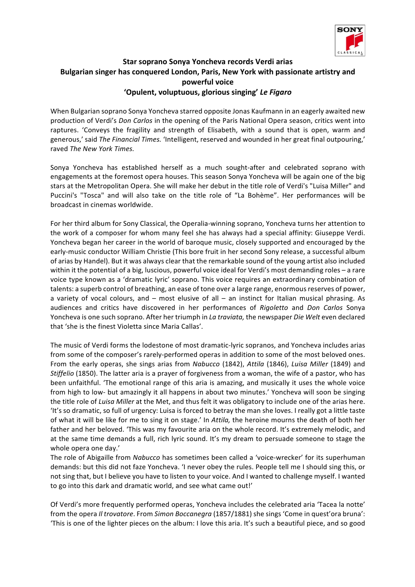

## **Star soprano Sonya Yoncheva records Verdi arias** Bulgarian singer has conquered London, Paris, New York with passionate artistry and **powerful voice 'Opulent, voluptuous, glorious singing'** *Le Figaro*

When Bulgarian soprano Sonya Yoncheva starred opposite Jonas Kaufmann in an eagerly awaited new production of Verdi's *Don Carlos* in the opening of the Paris National Opera season, critics went into raptures. 'Conveys the fragility and strength of Elisabeth, with a sound that is open, warm and generous,' said *The Financial Times.* 'Intelligent, reserved and wounded in her great final outpouring,' raved The New York Times.

Sonya Yoncheva has established herself as a much sought-after and celebrated soprano with engagements at the foremost opera houses. This season Sonya Yoncheva will be again one of the big stars at the Metropolitan Opera. She will make her debut in the title role of Verdi's "Luisa Miller" and Puccini's "Tosca" and will also take on the title role of "La Bohème". Her performances will be broadcast in cinemas worldwide.

For her third album for Sony Classical, the Operalia-winning soprano, Yoncheva turns her attention to the work of a composer for whom many feel she has always had a special affinity: Giuseppe Verdi. Yoncheva began her career in the world of baroque music, closely supported and encouraged by the early-music conductor William Christie (This bore fruit in her second Sony release, a successful album of arias by Handel). But it was always clear that the remarkable sound of the young artist also included within it the potential of a big, luscious, powerful voice ideal for Verdi's most demanding roles - a rare voice type known as a 'dramatic lyric' soprano. This voice requires an extraordinary combination of talents: a superb control of breathing, an ease of tone over a large range, enormous reserves of power, a variety of vocal colours, and  $-$  most elusive of all  $-$  an instinct for Italian musical phrasing. As audiences and critics have discovered in her performances of *Rigoletto* and *Don Carlos* Sonya Yoncheva is one such soprano. After her triumph in *La traviata*, the newspaper *Die Welt* even declared that 'she is the finest Violetta since Maria Callas'.

The music of Verdi forms the lodestone of most dramatic-lyric sopranos, and Yoncheva includes arias from some of the composer's rarely-performed operas in addition to some of the most beloved ones. From the early operas, she sings arias from *Nabucco* (1842), *Attila* (1846), *Luisa Miller* (1849) and *Stiffelio* (1850). The latter aria is a prayer of forgiveness from a woman, the wife of a pastor, who has been unfaithful. The emotional range of this aria is amazing, and musically it uses the whole voice from high to low- but amazingly it all happens in about two minutes.' Yoncheva will soon be singing the title role of *Luisa Miller* at the Met, and thus felt it was obligatory to include one of the arias here. 'It's so dramatic, so full of urgency: Luisa is forced to betray the man she loves. I really got a little taste of what it will be like for me to sing it on stage.' In *Attila*, the heroine mourns the death of both her father and her beloved. 'This was my favourite aria on the whole record. It's extremely melodic, and at the same time demands a full, rich lyric sound. It's my dream to persuade someone to stage the whole opera one day.'

The role of Abigaille from *Nabucco* has sometimes been called a 'voice-wrecker' for its superhuman demands: but this did not faze Yoncheva. 'I never obey the rules. People tell me I should sing this, or not sing that, but I believe you have to listen to your voice. And I wanted to challenge myself. I wanted to go into this dark and dramatic world, and see what came out!'

Of Verdi's more frequently performed operas, Yoncheva includes the celebrated aria 'Tacea la notte' from the opera *Il trovatore*. From *Simon Boccanegra* (1857/1881) she sings 'Come in quest'ora bruna': 'This is one of the lighter pieces on the album: I love this aria. It's such a beautiful piece, and so good